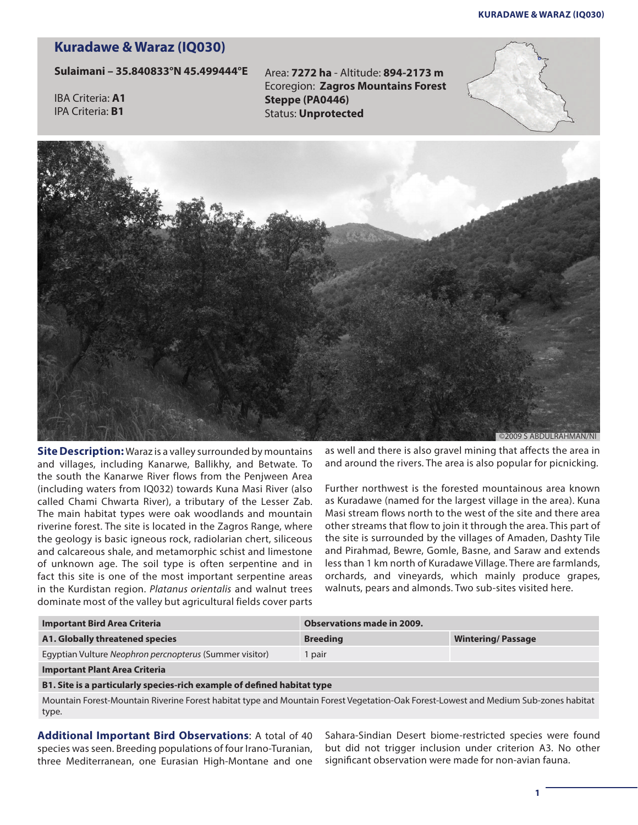## **Kuradawe & Waraz (IQ030)**

## **Sulaimani – 35.840833°N 45.499444°E**

IBA Criteria: **A1**  IPA Criteria: **B1**

Area: **7272 ha** - Altitude: **894-2173 m** Ecoregion: **Zagros Mountains Forest Steppe (PA0446)** Status: **Unprotected**





**Site Description:** Waraz is a valley surrounded by mountains and villages, including Kanarwe, Ballikhy, and Betwate. To the south the Kanarwe River flows from the Penjween Area (including waters from IQ032) towards Kuna Masi River (also called Chami Chwarta River), a tributary of the Lesser Zab. The main habitat types were oak woodlands and mountain riverine forest. The site is located in the Zagros Range, where the geology is basic igneous rock, radiolarian chert, siliceous and calcareous shale, and metamorphic schist and limestone of unknown age. The soil type is often serpentine and in fact this site is one of the most important serpentine areas in the Kurdistan region. *Platanus orientalis* and walnut trees dominate most of the valley but agricultural fields cover parts

©2009 S ABDULRAHMAN/NI

as well and there is also gravel mining that affects the area in and around the rivers. The area is also popular for picnicking.

Further northwest is the forested mountainous area known as Kuradawe (named for the largest village in the area). Kuna Masi stream flows north to the west of the site and there area other streams that flow to join it through the area. This part of the site is surrounded by the villages of Amaden, Dashty Tile and Pirahmad, Bewre, Gomle, Basne, and Saraw and extends less than 1 km north of Kuradawe Village. There are farmlands, orchards, and vineyards, which mainly produce grapes, walnuts, pears and almonds. Two sub-sites visited here.

| <b>Important Bird Area Criteria</b>                                     | <b>Observations made in 2009.</b> |                          |
|-------------------------------------------------------------------------|-----------------------------------|--------------------------|
| A1. Globally threatened species                                         | <b>Breeding</b>                   | <b>Wintering/Passage</b> |
| Egyptian Vulture Neophron percnopterus (Summer visitor)                 | pair                              |                          |
| <b>Important Plant Area Criteria</b>                                    |                                   |                          |
| B1. Site is a particularly species-rich example of defined habitat type |                                   |                          |

Mountain Forest-Mountain Riverine Forest habitat type and Mountain Forest Vegetation-Oak Forest-Lowest and Medium Sub-zones habitat type.

**Additional Important Bird Observations**: A total of 40 species was seen. Breeding populations of four Irano-Turanian, three Mediterranean, one Eurasian High-Montane and one

Sahara-Sindian Desert biome-restricted species were found but did not trigger inclusion under criterion A3. No other significant observation were made for non-avian fauna.